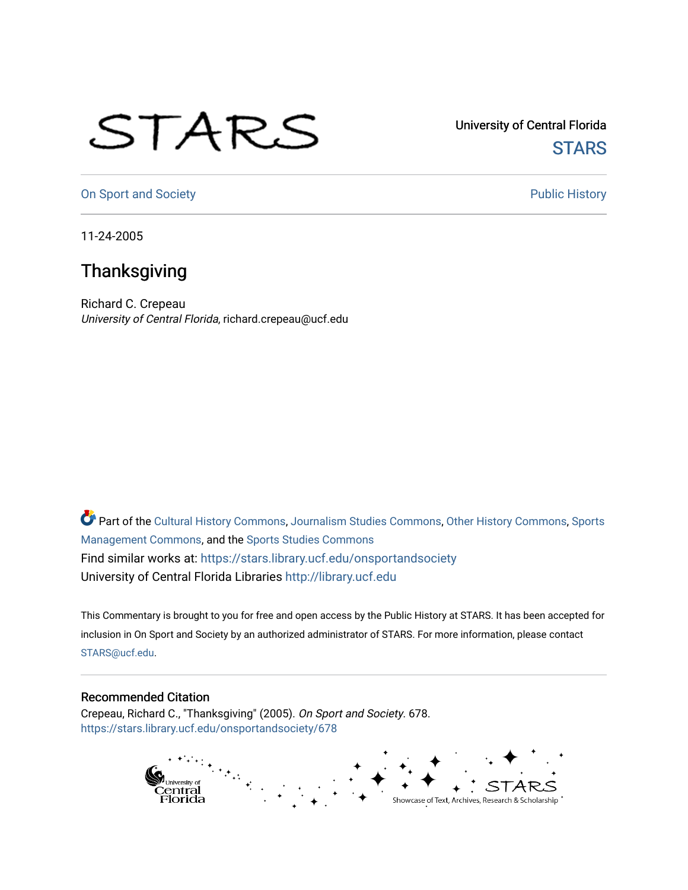## STARS

University of Central Florida **STARS** 

[On Sport and Society](https://stars.library.ucf.edu/onsportandsociety) **Public History** Public History

11-24-2005

## **Thanksgiving**

Richard C. Crepeau University of Central Florida, richard.crepeau@ucf.edu

Part of the [Cultural History Commons](http://network.bepress.com/hgg/discipline/496?utm_source=stars.library.ucf.edu%2Fonsportandsociety%2F678&utm_medium=PDF&utm_campaign=PDFCoverPages), [Journalism Studies Commons,](http://network.bepress.com/hgg/discipline/333?utm_source=stars.library.ucf.edu%2Fonsportandsociety%2F678&utm_medium=PDF&utm_campaign=PDFCoverPages) [Other History Commons,](http://network.bepress.com/hgg/discipline/508?utm_source=stars.library.ucf.edu%2Fonsportandsociety%2F678&utm_medium=PDF&utm_campaign=PDFCoverPages) [Sports](http://network.bepress.com/hgg/discipline/1193?utm_source=stars.library.ucf.edu%2Fonsportandsociety%2F678&utm_medium=PDF&utm_campaign=PDFCoverPages) [Management Commons](http://network.bepress.com/hgg/discipline/1193?utm_source=stars.library.ucf.edu%2Fonsportandsociety%2F678&utm_medium=PDF&utm_campaign=PDFCoverPages), and the [Sports Studies Commons](http://network.bepress.com/hgg/discipline/1198?utm_source=stars.library.ucf.edu%2Fonsportandsociety%2F678&utm_medium=PDF&utm_campaign=PDFCoverPages) Find similar works at: <https://stars.library.ucf.edu/onsportandsociety> University of Central Florida Libraries [http://library.ucf.edu](http://library.ucf.edu/) 

This Commentary is brought to you for free and open access by the Public History at STARS. It has been accepted for inclusion in On Sport and Society by an authorized administrator of STARS. For more information, please contact [STARS@ucf.edu](mailto:STARS@ucf.edu).

## Recommended Citation

Crepeau, Richard C., "Thanksgiving" (2005). On Sport and Society. 678. [https://stars.library.ucf.edu/onsportandsociety/678](https://stars.library.ucf.edu/onsportandsociety/678?utm_source=stars.library.ucf.edu%2Fonsportandsociety%2F678&utm_medium=PDF&utm_campaign=PDFCoverPages)

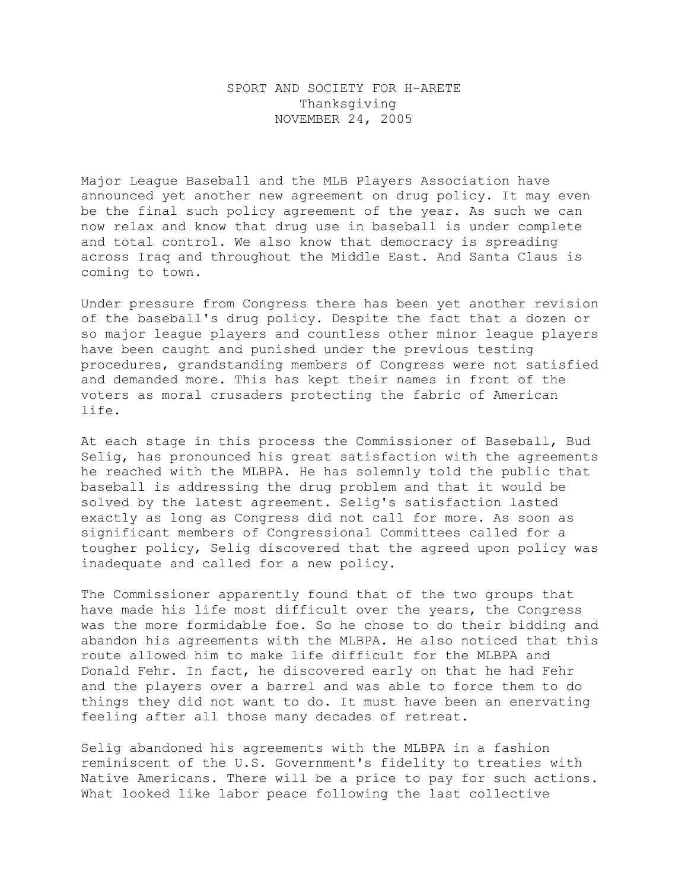## SPORT AND SOCIETY FOR H-ARETE Thanksgiving NOVEMBER 24, 2005

Major League Baseball and the MLB Players Association have announced yet another new agreement on drug policy. It may even be the final such policy agreement of the year. As such we can now relax and know that drug use in baseball is under complete and total control. We also know that democracy is spreading across Iraq and throughout the Middle East. And Santa Claus is coming to town.

Under pressure from Congress there has been yet another revision of the baseball's drug policy. Despite the fact that a dozen or so major league players and countless other minor league players have been caught and punished under the previous testing procedures, grandstanding members of Congress were not satisfied and demanded more. This has kept their names in front of the voters as moral crusaders protecting the fabric of American life.

At each stage in this process the Commissioner of Baseball, Bud Selig, has pronounced his great satisfaction with the agreements he reached with the MLBPA. He has solemnly told the public that baseball is addressing the drug problem and that it would be solved by the latest agreement. Selig's satisfaction lasted exactly as long as Congress did not call for more. As soon as significant members of Congressional Committees called for a tougher policy, Selig discovered that the agreed upon policy was inadequate and called for a new policy.

The Commissioner apparently found that of the two groups that have made his life most difficult over the years, the Congress was the more formidable foe. So he chose to do their bidding and abandon his agreements with the MLBPA. He also noticed that this route allowed him to make life difficult for the MLBPA and Donald Fehr. In fact, he discovered early on that he had Fehr and the players over a barrel and was able to force them to do things they did not want to do. It must have been an enervating feeling after all those many decades of retreat.

Selig abandoned his agreements with the MLBPA in a fashion reminiscent of the U.S. Government's fidelity to treaties with Native Americans. There will be a price to pay for such actions. What looked like labor peace following the last collective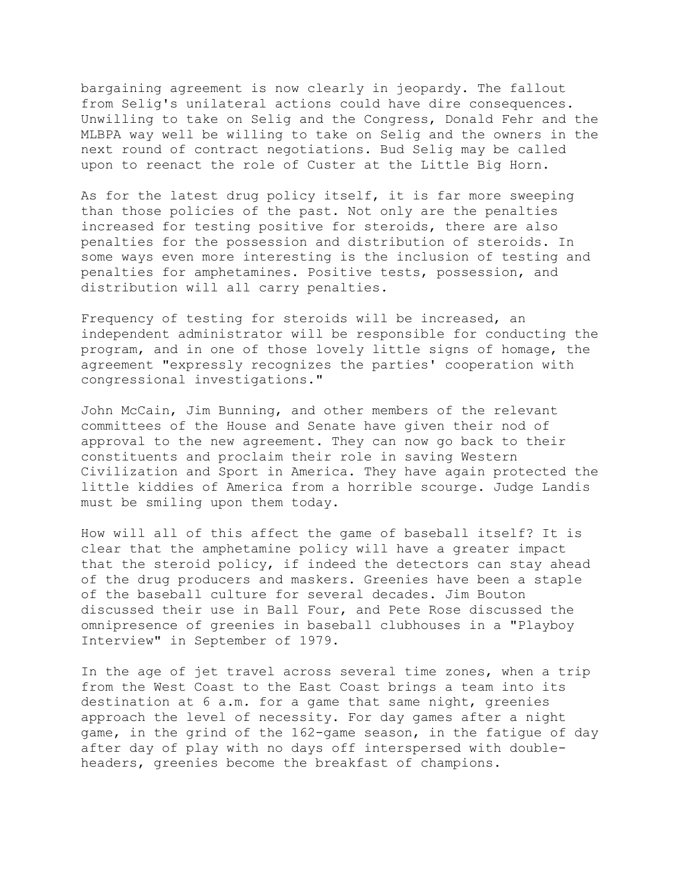bargaining agreement is now clearly in jeopardy. The fallout from Selig's unilateral actions could have dire consequences. Unwilling to take on Selig and the Congress, Donald Fehr and the MLBPA way well be willing to take on Selig and the owners in the next round of contract negotiations. Bud Selig may be called upon to reenact the role of Custer at the Little Big Horn.

As for the latest drug policy itself, it is far more sweeping than those policies of the past. Not only are the penalties increased for testing positive for steroids, there are also penalties for the possession and distribution of steroids. In some ways even more interesting is the inclusion of testing and penalties for amphetamines. Positive tests, possession, and distribution will all carry penalties.

Frequency of testing for steroids will be increased, an independent administrator will be responsible for conducting the program, and in one of those lovely little signs of homage, the agreement "expressly recognizes the parties' cooperation with congressional investigations."

John McCain, Jim Bunning, and other members of the relevant committees of the House and Senate have given their nod of approval to the new agreement. They can now go back to their constituents and proclaim their role in saving Western Civilization and Sport in America. They have again protected the little kiddies of America from a horrible scourge. Judge Landis must be smiling upon them today.

How will all of this affect the game of baseball itself? It is clear that the amphetamine policy will have a greater impact that the steroid policy, if indeed the detectors can stay ahead of the drug producers and maskers. Greenies have been a staple of the baseball culture for several decades. Jim Bouton discussed their use in Ball Four, and Pete Rose discussed the omnipresence of greenies in baseball clubhouses in a "Playboy Interview" in September of 1979.

In the age of jet travel across several time zones, when a trip from the West Coast to the East Coast brings a team into its destination at 6 a.m. for a game that same night, greenies approach the level of necessity. For day games after a night game, in the grind of the 162-game season, in the fatigue of day after day of play with no days off interspersed with doubleheaders, greenies become the breakfast of champions.